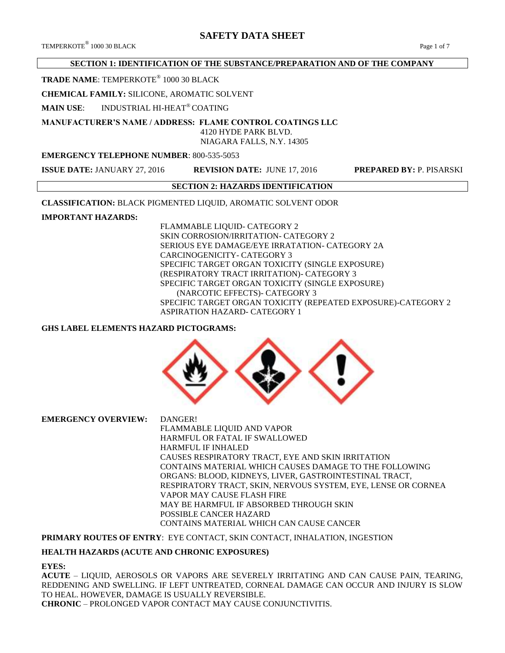# **SAFETY DATA SHEET**

# **SECTION 1: IDENTIFICATION OF THE SUBSTANCE/PREPARATION AND OF THE COMPANY**

**TRADE NAME**: TEMPERKOTE® 1000 30 BLACK

**CHEMICAL FAMILY:** SILICONE, AROMATIC SOLVENT

**MAIN USE**: INDUSTRIAL HI-HEAT® COATING

**MANUFACTURER'S NAME / ADDRESS: FLAME CONTROL COATINGS LLC**

 4120 HYDE PARK BLVD. NIAGARA FALLS, N.Y. 14305

# **EMERGENCY TELEPHONE NUMBER**: 800-535-5053

**ISSUE DATE:** JANUARY 27, 2016 **REVISION DATE:** JUNE 17, 2016 **PREPARED BY:** P. PISARSKI

# **SECTION 2: HAZARDS IDENTIFICATION**

**CLASSIFICATION:** BLACK PIGMENTED LIQUID, AROMATIC SOLVENT ODOR

**IMPORTANT HAZARDS:**

FLAMMABLE LIQUID- CATEGORY 2 SKIN CORROSION/IRRITATION- CATEGORY 2 SERIOUS EYE DAMAGE/EYE IRRATATION- CATEGORY 2A CARCINOGENICITY- CATEGORY 3 SPECIFIC TARGET ORGAN TOXICITY (SINGLE EXPOSURE) (RESPIRATORY TRACT IRRITATION)- CATEGORY 3 SPECIFIC TARGET ORGAN TOXICITY (SINGLE EXPOSURE) (NARCOTIC EFFECTS)- CATEGORY 3 SPECIFIC TARGET ORGAN TOXICITY (REPEATED EXPOSURE)-CATEGORY 2 ASPIRATION HAZARD- CATEGORY 1

# **GHS LABEL ELEMENTS HAZARD PICTOGRAMS:**



**EMERGENCY OVERVIEW:** DANGER!

FLAMMABLE LIQUID AND VAPOR HARMFUL OR FATAL IF SWALLOWED HARMFUL IF INHALED CAUSES RESPIRATORY TRACT, EYE AND SKIN IRRITATION CONTAINS MATERIAL WHICH CAUSES DAMAGE TO THE FOLLOWING ORGANS: BLOOD, KIDNEYS, LIVER, GASTROINTESTINAL TRACT, RESPIRATORY TRACT, SKIN, NERVOUS SYSTEM, EYE, LENSE OR CORNEA VAPOR MAY CAUSE FLASH FIRE MAY BE HARMFUL IF ABSORBED THROUGH SKIN POSSIBLE CANCER HAZARD CONTAINS MATERIAL WHICH CAN CAUSE CANCER

**PRIMARY ROUTES OF ENTRY**: EYE CONTACT, SKIN CONTACT, INHALATION, INGESTION

#### **HEALTH HAZARDS (ACUTE AND CHRONIC EXPOSURES)**

#### **EYES:**

**ACUTE** – LIQUID, AEROSOLS OR VAPORS ARE SEVERELY IRRITATING AND CAN CAUSE PAIN, TEARING, REDDENING AND SWELLING. IF LEFT UNTREATED, CORNEAL DAMAGE CAN OCCUR AND INJURY IS SLOW TO HEAL. HOWEVER, DAMAGE IS USUALLY REVERSIBLE. **CHRONIC** – PROLONGED VAPOR CONTACT MAY CAUSE CONJUNCTIVITIS.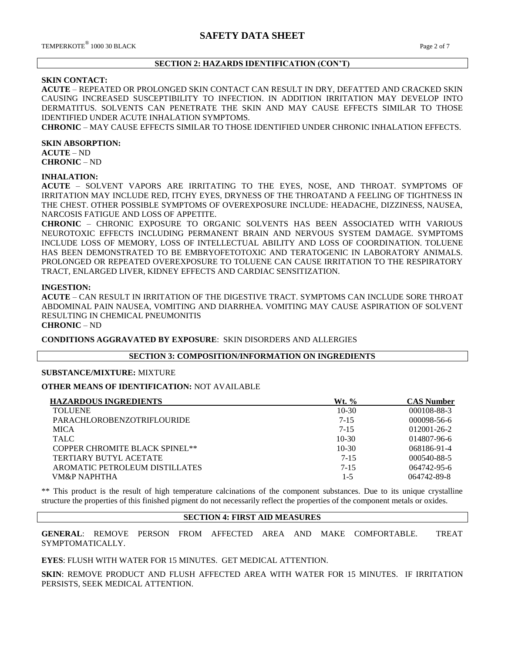# **SECTION 2: HAZARDS IDENTIFICATION (CON'T)**

# **SKIN CONTACT:**

**ACUTE** – REPEATED OR PROLONGED SKIN CONTACT CAN RESULT IN DRY, DEFATTED AND CRACKED SKIN CAUSING INCREASED SUSCEPTIBILITY TO INFECTION. IN ADDITION IRRITATION MAY DEVELOP INTO DERMATITUS. SOLVENTS CAN PENETRATE THE SKIN AND MAY CAUSE EFFECTS SIMILAR TO THOSE IDENTIFIED UNDER ACUTE INHALATION SYMPTOMS.

**CHRONIC** – MAY CAUSE EFFECTS SIMILAR TO THOSE IDENTIFIED UNDER CHRONIC INHALATION EFFECTS.

#### **SKIN ABSORPTION:**

**ACUTE** – ND **CHRONIC** – ND

#### **INHALATION:**

**ACUTE** – SOLVENT VAPORS ARE IRRITATING TO THE EYES, NOSE, AND THROAT. SYMPTOMS OF IRRITATION MAY INCLUDE RED, ITCHY EYES, DRYNESS OF THE THROATAND A FEELING OF TIGHTNESS IN THE CHEST. OTHER POSSIBLE SYMPTOMS OF OVEREXPOSURE INCLUDE: HEADACHE, DIZZINESS, NAUSEA, NARCOSIS FATIGUE AND LOSS OF APPETITE.

**CHRONIC** – CHRONIC EXPOSURE TO ORGANIC SOLVENTS HAS BEEN ASSOCIATED WITH VARIOUS NEUROTOXIC EFFECTS INCLUDING PERMANENT BRAIN AND NERVOUS SYSTEM DAMAGE. SYMPTOMS INCLUDE LOSS OF MEMORY, LOSS OF INTELLECTUAL ABILITY AND LOSS OF COORDINATION. TOLUENE HAS BEEN DEMONSTRATED TO BE EMBRYOFETOTOXIC AND TERATOGENIC IN LABORATORY ANIMALS. PROLONGED OR REPEATED OVEREXPOSURE TO TOLUENE CAN CAUSE IRRITATION TO THE RESPIRATORY TRACT, ENLARGED LIVER, KIDNEY EFFECTS AND CARDIAC SENSITIZATION.

#### **INGESTION:**

**ACUTE** – CAN RESULT IN IRRITATION OF THE DIGESTIVE TRACT. SYMPTOMS CAN INCLUDE SORE THROAT ABDOMINAL PAIN NAUSEA, VOMITING AND DIARRHEA. VOMITING MAY CAUSE ASPIRATION OF SOLVENT RESULTING IN CHEMICAL PNEUMONITIS

# **CHRONIC** – ND

**CONDITIONS AGGRAVATED BY EXPOSURE**: SKIN DISORDERS AND ALLERGIES

# **SECTION 3: COMPOSITION/INFORMATION ON INGREDIENTS**

## **SUBSTANCE/MIXTURE:** MIXTURE

# **OTHER MEANS OF IDENTIFICATION:** NOT AVAILABLE

| <b>HAZARDOUS INGREDIENTS</b>          | Wt. %    | <b>CAS Number</b> |
|---------------------------------------|----------|-------------------|
| <b>TOLUENE</b>                        | $10-30$  | 000108-88-3       |
| <b>PARACHLOROBENZOTRIFLOURIDE</b>     | $7 - 15$ | $000098 - 56 - 6$ |
| <b>MICA</b>                           | $7 - 15$ | $012001 - 26 - 2$ |
| <b>TALC</b>                           | $10-30$  | 014807-96-6       |
| <b>COPPER CHROMITE BLACK SPINEL**</b> | $10-30$  | 068186-91-4       |
| TERTIARY BUTYL ACETATE                | $7 - 15$ | 000540-88-5       |
| AROMATIC PETROLEUM DISTILLATES        | $7 - 15$ | $064742 - 95 - 6$ |
| VM&P NAPHTHA                          | $1 - 5$  | 064742-89-8       |

\*\* This product is the result of high temperature calcinations of the component substances. Due to its unique crystalline structure the properties of this finished pigment do not necessarily reflect the properties of the component metals or oxides.

# **SECTION 4: FIRST AID MEASURES**

**GENERAL**: REMOVE PERSON FROM AFFECTED AREA AND MAKE COMFORTABLE. TREAT SYMPTOMATICALLY.

**EYES**: FLUSH WITH WATER FOR 15 MINUTES. GET MEDICAL ATTENTION.

**SKIN**: REMOVE PRODUCT AND FLUSH AFFECTED AREA WITH WATER FOR 15 MINUTES. IF IRRITATION PERSISTS, SEEK MEDICAL ATTENTION.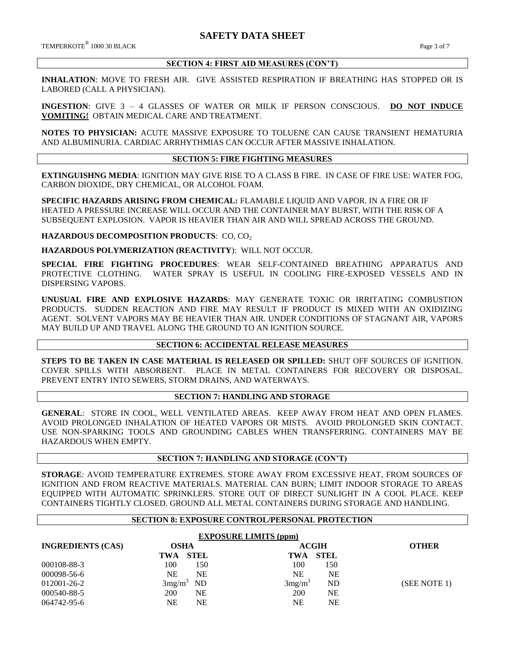TEMPERKOTE<sup>®</sup> 1000 30 BLACK 1000 30 BLACK Page 3 of 7

# **SECTION 4: FIRST AID MEASURES (CON'T)**

**INHALATION**: MOVE TO FRESH AIR. GIVE ASSISTED RESPIRATION IF BREATHING HAS STOPPED OR IS LABORED (CALL A PHYSICIAN).

**INGESTION**: GIVE 3 – 4 GLASSES OF WATER OR MILK IF PERSON CONSCIOUS. **DO NOT INDUCE VOMITING!** OBTAIN MEDICAL CARE AND TREATMENT.

**NOTES TO PHYSICIAN:** ACUTE MASSIVE EXPOSURE TO TOLUENE CAN CAUSE TRANSIENT HEMATURIA AND ALBUMINURIA. CARDIAC ARRHYTHMIAS CAN OCCUR AFTER MASSIVE INHALATION.

# **SECTION 5: FIRE FIGHTING MEASURES**

**EXTINGUISHNG MEDIA**: IGNITION MAY GIVE RISE TO A CLASS B FIRE. IN CASE OF FIRE USE: WATER FOG, CARBON DIOXIDE, DRY CHEMICAL, OR ALCOHOL FOAM.

**SPECIFIC HAZARDS ARISING FROM CHEMICAL:** FLAMABLE LIQUID AND VAPOR. IN A FIRE OR IF HEATED A PRESSURE INCREASE WILL OCCUR AND THE CONTAINER MAY BURST, WITH THE RISK OF A SUBSEQUENT EXPLOSION. VAPOR IS HEAVIER THAN AIR AND WILL SPREAD ACROSS THE GROUND.

**HAZARDOUS DECOMPOSITION PRODUCTS: CO, CO2** 

**HAZARDOUS POLYMERIZATION (REACTIVITY**): WILL NOT OCCUR.

**SPECIAL FIRE FIGHTING PROCEDURES**: WEAR SELF-CONTAINED BREATHING APPARATUS AND PROTECTIVE CLOTHING. WATER SPRAY IS USEFUL IN COOLING FIRE-EXPOSED VESSELS AND IN DISPERSING VAPORS.

**UNUSUAL FIRE AND EXPLOSIVE HAZARDS**: MAY GENERATE TOXIC OR IRRITATING COMBUSTION PRODUCTS. SUDDEN REACTION AND FIRE MAY RESULT IF PRODUCT IS MIXED WITH AN OXIDIZING AGENT. SOLVENT VAPORS MAY BE HEAVIER THAN AIR. UNDER CONDITIONS OF STAGNANT AIR, VAPORS MAY BUILD UP AND TRAVEL ALONG THE GROUND TO AN IGNITION SOURCE.

# **SECTION 6: ACCIDENTAL RELEASE MEASURES**

**STEPS TO BE TAKEN IN CASE MATERIAL IS RELEASED OR SPILLED:** SHUT OFF SOURCES OF IGNITION. COVER SPILLS WITH ABSORBENT. PLACE IN METAL CONTAINERS FOR RECOVERY OR DISPOSAL. PREVENT ENTRY INTO SEWERS, STORM DRAINS, AND WATERWAYS.

# **SECTION 7: HANDLING AND STORAGE**

**GENERAL**: STORE IN COOL, WELL VENTILATED AREAS. KEEP AWAY FROM HEAT AND OPEN FLAMES. AVOID PROLONGED INHALATION OF HEATED VAPORS OR MISTS. AVOID PROLONGED SKIN CONTACT. USE NON-SPARKING TOOLS AND GROUNDING CABLES WHEN TRANSFERRING. CONTAINERS MAY BE HAZARDOUS WHEN EMPTY.

#### **SECTION 7: HANDLING AND STORAGE (CON'T)**

**STORAGE**: AVOID TEMPERATURE EXTREMES. STORE AWAY FROM EXCESSIVE HEAT, FROM SOURCES OF IGNITION AND FROM REACTIVE MATERIALS. MATERIAL CAN BURN; LIMIT INDOOR STORAGE TO AREAS EQUIPPED WITH AUTOMATIC SPRINKLERS. STORE OUT OF DIRECT SUNLIGHT IN A COOL PLACE. KEEP CONTAINERS TIGHTLY CLOSED. GROUND ALL METAL CONTAINERS DURING STORAGE AND HANDLING.

# **SECTION 8: EXPOSURE CONTROL/PERSONAL PROTECTION**

| <b>EXPOSURE LIMITS (ppm)</b> |                        |                          |              |  |  |
|------------------------------|------------------------|--------------------------|--------------|--|--|
| <b>INGREDIENTS (CAS)</b>     | <b>OSHA</b>            | <b>ACGIH</b>             | <b>OTHER</b> |  |  |
|                              | <b>STEL</b><br>TWA     | STEL<br>TWA              |              |  |  |
| 000108-88-3                  | 100<br>150             | 100<br>150               |              |  |  |
| 000098-56-6                  | <b>NE</b><br><b>NE</b> | <b>NE</b><br>NΕ          |              |  |  |
| 012001-26-2                  | $3mg/m^3$ ND           | 3mg/m <sup>3</sup><br>ND | (SEE NOTE 1) |  |  |
| 000540-88-5                  | <b>200</b><br>NE       | 200<br>NE                |              |  |  |
| 064742-95-6                  | NE<br>NΕ               | NE<br>NΕ                 |              |  |  |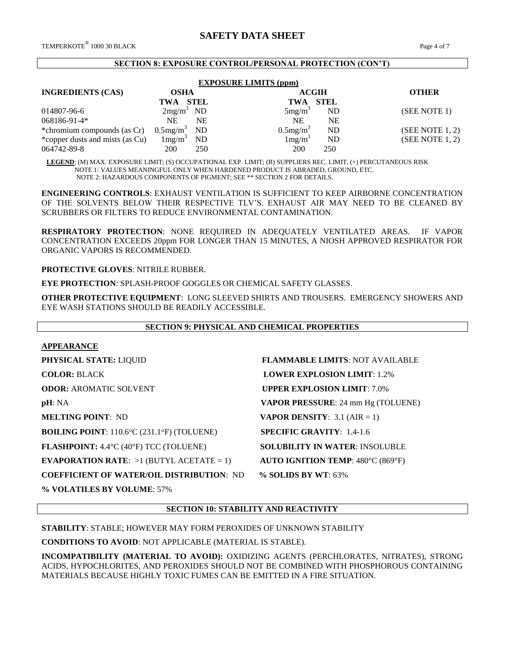#### **SECTION 8: EXPOSURE CONTROL/PERSONAL PROTECTION (CON'T)**

| <b>EXPOSURE LIMITS (ppm)</b>    |                            |                         |              |                 |  |
|---------------------------------|----------------------------|-------------------------|--------------|-----------------|--|
| <b>INGREDIENTS (CAS)</b>        | <b>OSHA</b>                |                         | <b>ACGIH</b> | <b>OTHER</b>    |  |
|                                 | STEL<br>TWA                | TWA                     | STEL         |                 |  |
| 014807-96-6                     | $2mg/m^3$ ND               | 5mg/m <sup>3</sup>      | ND           | (SEE NOTE 1)    |  |
| $068186 - 91 - 4*$              | <b>NE</b><br>NΕ            | <b>NE</b>               | NE           |                 |  |
| *chromium compounds (as Cr)     | $0.5$ mg/m <sup>3</sup> ND | $0.5$ mg/m <sup>3</sup> | <b>ND</b>    | (SEE NOTE 1, 2) |  |
| *copper dusts and mists (as Cu) | $1 \text{mg/m}^3$<br>ND    | 1mg/m <sup>3</sup>      | ND           | (SEE NOTE 1, 2) |  |
| 064742-89-8                     | 200<br>250                 | 200                     | 250          |                 |  |

 **LEGEND**: (M) MAX. EXPOSURE LIMIT; (S) OCCUPATIONAL EXP. LIMIT; (R) SUPPLIERS REC. LIMIT, (+) PERCUTANEOUS RISK NOTE 1: VALUES MEANINGFUL ONLY WHEN HARDENED PRODUCT IS ABRADED, GROUND, ETC. NOTE 2: HAZARDOUS COMPONENTS OF PIGMENT; SEE \*\* SECTION 2 FOR DETAILS.

**ENGINEERING CONTROLS**: EXHAUST VENTILATION IS SUFFICIENT TO KEEP AIRBORNE CONCENTRATION OF THE SOLVENTS BELOW THEIR RESPECTIVE TLV'S. EXHAUST AIR MAY NEED TO BE CLEANED BY SCRUBBERS OR FILTERS TO REDUCE ENVIRONMENTAL CONTAMINATION.

**RESPIRATORY PROTECTION**: NONE REQUIRED IN ADEQUATELY VENTILATED AREAS. IF VAPOR CONCENTRATION EXCEEDS 20ppm FOR LONGER THAN 15 MINUTES, A NIOSH APPROVED RESPIRATOR FOR ORGANIC VAPORS IS RECOMMENDED.

**PROTECTIVE GLOVES**: NITRILE RUBBER.

**EYE PROTECTION**: SPLASH-PROOF GOGGLES OR CHEMICAL SAFETY GLASSES.

**OTHER PROTECTIVE EQUIPMENT**: LONG SLEEVED SHIRTS AND TROUSERS. EMERGENCY SHOWERS AND EYE WASH STATIONS SHOULD BE READILY ACCESSIBLE.

# **SECTION 9: PHYSICAL AND CHEMICAL PROPERTIES APPEARANCE PHYSICAL STATE:** LIQUID **FLAMMABLE LIMITS**: NOT AVAILABLE **COLOR:** BLACK **LOWER EXPLOSION LIMIT**: 1.2% **ODOR: AROMATIC SOLVENT <b>UPPER EXPLOSION LIMIT**: 7.0% **pH**: NA **VAPOR PRESSURE**: 24 mm Hg (TOLUENE) **MELTING POINT**: ND **VAPOR DENSITY**: 3.1 (AIR = 1) **BOILING POINT**: 110.6°C (231.1°F) (TOLUENE) **SPECIFIC GRAVITY**: 1.4-1.6 **FLASHPOINT:** 4.4°C (40°F) TCC (TOLUENE) **SOLUBILITY IN WATER**: INSOLUBLE **EVAPORATION RATE:**  $>1$  (BUTYL ACETATE = 1) **AUTO IGNITION TEMP**: 480°C (869°F) **COEFFICIENT OF WATER/OIL DISTRIBUTION**: ND **% SOLIDS BY WT**: 63%

**% VOLATILES BY VOLUME**: 57%

**SECTION 10: STABILITY AND REACTIVITY**

**STABILITY**: STABLE; HOWEVER MAY FORM PEROXIDES OF UNKNOWN STABILITY

**CONDITIONS TO AVOID**: NOT APPLICABLE (MATERIAL IS STABLE).

**INCOMPATIBILITY (MATERIAL TO AVOID):** OXIDIZING AGENTS (PERCHLORATES, NITRATES), STRONG ACIDS, HYPOCHLORITES, AND PEROXIDES SHOULD NOT BE COMBINED WITH PHOSPHOROUS CONTAINING MATERIALS BECAUSE HIGHLY TOXIC FUMES CAN BE EMITTED IN A FIRE SITUATION.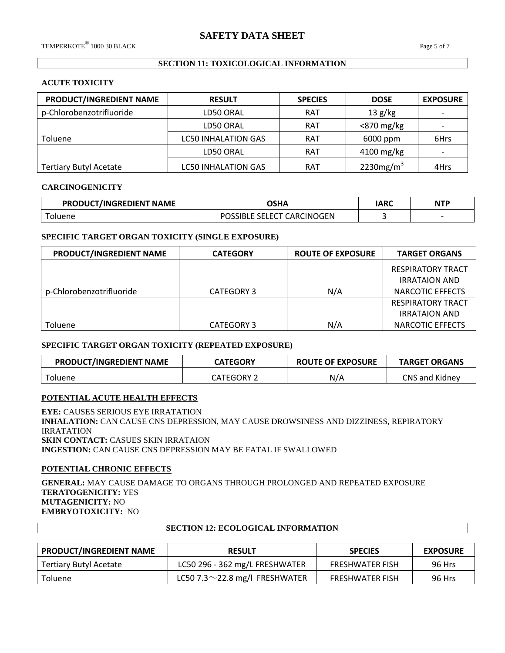# **SECTION 11: TOXICOLOGICAL INFORMATION**

# **ACUTE TOXICITY**

| PRODUCT/INGREDIENT NAME       | <b>RESULT</b>              | <b>SPECIES</b> | <b>DOSE</b>   | <b>EXPOSURE</b> |
|-------------------------------|----------------------------|----------------|---------------|-----------------|
| p-Chlorobenzotrifluoride      | LD50 ORAL                  | <b>RAT</b>     | 13 g/kg       |                 |
|                               | LD50 ORAL                  | <b>RAT</b>     | $<$ 870 mg/kg |                 |
| <b>Toluene</b>                | <b>LC50 INHALATION GAS</b> | <b>RAT</b>     | 6000 ppm      | 6Hrs            |
|                               | LD50 ORAL                  | <b>RAT</b>     | $4100$ mg/kg  |                 |
| <b>Tertiary Butyl Acetate</b> | <b>LC50 INHALATION GAS</b> | <b>RAT</b>     | 2230 $mg/m3$  | 4Hrs            |

#### **CARCINOGENICITY**

| PRODUCT/INGREDIENT NAME | OSHA                       | IARC | NTP |
|-------------------------|----------------------------|------|-----|
| <sup>-</sup> oluene     | POSSIBLE SELECT CARCINOGEN |      |     |

# **SPECIFIC TARGET ORGAN TOXICITY (SINGLE EXPOSURE)**

| PRODUCT/INGREDIENT NAME  | <b>CATEGORY</b> | <b>ROUTE OF EXPOSURE</b> | <b>TARGET ORGANS</b>     |
|--------------------------|-----------------|--------------------------|--------------------------|
|                          |                 |                          | <b>RESPIRATORY TRACT</b> |
|                          |                 |                          | <b>IRRATAION AND</b>     |
| p-Chlorobenzotrifluoride | CATEGORY 3      | N/A                      | NARCOTIC EFFECTS         |
|                          |                 |                          | <b>RESPIRATORY TRACT</b> |
|                          |                 |                          | <b>IRRATAION AND</b>     |
| <b>Toluene</b>           | CATEGORY 3      | N/A                      | NARCOTIC EFFECTS         |

#### **SPECIFIC TARGET ORGAN TOXICITY (REPEATED EXPOSURE)**

| PRODUCT/INGREDIENT NAME | <b>CATEGORY</b> | <b>ROUTE OF EXPOSURE</b> | <b>TARGET ORGANS</b> |
|-------------------------|-----------------|--------------------------|----------------------|
| <b>Toluene</b>          | CATEGORY 2      | N/A                      | CNS and Kidney       |

# **POTENTIAL ACUTE HEALTH EFFECTS**

**EYE:** CAUSES SERIOUS EYE IRRATATION **INHALATION:** CAN CAUSE CNS DEPRESSION, MAY CAUSE DROWSINESS AND DIZZINESS, REPIRATORY IRRATATION **SKIN CONTACT:** CASUES SKIN IRRATAION **INGESTION:** CAN CAUSE CNS DEPRESSION MAY BE FATAL IF SWALLOWED

# **POTENTIAL CHRONIC EFFECTS**

**GENERAL:** MAY CAUSE DAMAGE TO ORGANS THROUGH PROLONGED AND REPEATED EXPOSURE **TERATOGENICITY:** YES **MUTAGENICITY:** NO **EMBRYOTOXICITY:** NO

# **SECTION 12: ECOLOGICAL INFORMATION**

| <b>PRODUCT/INGREDIENT NAME</b><br><b>RESULT</b> |                                      | <b>SPECIES</b>         | <b>EXPOSURE</b> |
|-------------------------------------------------|--------------------------------------|------------------------|-----------------|
| Tertiary Butyl Acetate                          | LC50 296 - 362 mg/L FRESHWATER       | <b>FRESHWATER FISH</b> | 96 Hrs          |
| Toluene                                         | LC50 7.3 $\sim$ 22.8 mg/l FRESHWATER | <b>FRESHWATER FISH</b> | 96 Hrs          |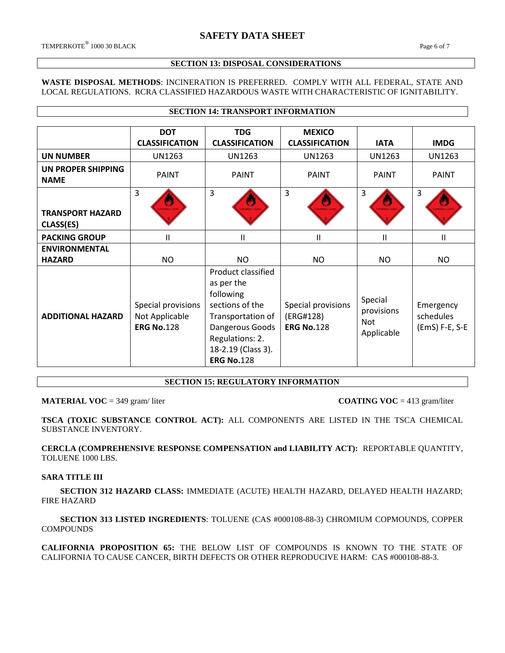#### **SECTION 13: DISPOSAL CONSIDERATIONS**

#### **WASTE DISPOSAL METHODS**: INCINERATION IS PREFERRED. COMPLY WITH ALL FEDERAL, STATE AND LOCAL REGULATIONS. RCRA CLASSIFIED HAZARDOUS WASTE WITH CHARACTERISTIC OF IGNITABILITY.

**SECTION 14: TRANSPORT INFORMATION**

|                                      | <b>DOT</b><br><b>CLASSIFICATION</b>                       | <b>TDG</b><br><b>CLASSIFICATION</b>                                                                                                                                    | <b>MEXICO</b><br><b>CLASSIFICATION</b>               | <b>IATA</b>                                | <b>IMDG</b>                              |
|--------------------------------------|-----------------------------------------------------------|------------------------------------------------------------------------------------------------------------------------------------------------------------------------|------------------------------------------------------|--------------------------------------------|------------------------------------------|
|                                      |                                                           |                                                                                                                                                                        |                                                      |                                            |                                          |
| <b>UN NUMBER</b>                     | <b>UN1263</b>                                             | <b>UN1263</b>                                                                                                                                                          | <b>UN1263</b>                                        | UN1263                                     | <b>UN1263</b>                            |
| UN PROPER SHIPPING<br><b>NAME</b>    | <b>PAINT</b>                                              | <b>PAINT</b>                                                                                                                                                           | <b>PAINT</b>                                         | <b>PAINT</b>                               | <b>PAINT</b>                             |
|                                      | 3                                                         | 3                                                                                                                                                                      | 3                                                    | 3                                          | 3                                        |
| <b>TRANSPORT HAZARD</b><br>CLASS(ES) |                                                           |                                                                                                                                                                        |                                                      |                                            |                                          |
| <b>PACKING GROUP</b>                 | $\mathbf{H}$                                              | Ш                                                                                                                                                                      | Ш                                                    | $\mathbf{I}$                               | $\mathsf{I}$                             |
| <b>ENVIRONMENTAL</b>                 |                                                           |                                                                                                                                                                        |                                                      |                                            |                                          |
| <b>HAZARD</b>                        | <b>NO</b>                                                 | NO.                                                                                                                                                                    | <b>NO</b>                                            | NO.                                        | <b>NO</b>                                |
| <b>ADDITIONAL HAZARD</b>             | Special provisions<br>Not Applicable<br><b>ERG No.128</b> | Product classified<br>as per the<br>following<br>sections of the<br>Transportation of<br>Dangerous Goods<br>Regulations: 2.<br>18-2.19 (Class 3).<br><b>ERG No.128</b> | Special provisions<br>(ERG#128)<br><b>ERG No.128</b> | Special<br>provisions<br>Not<br>Applicable | Emergency<br>schedules<br>(EmS) F-E, S-E |

**SECTION 15: REGULATORY INFORMATION**

# **MATERIAL VOC** = 349 gram/ liter **COATING VOC** = 413 gram/liter

**TSCA (TOXIC SUBSTANCE CONTROL ACT):** ALL COMPONENTS ARE LISTED IN THE TSCA CHEMICAL SUBSTANCE INVENTORY.

**CERCLA (COMPREHENSIVE RESPONSE COMPENSATION and LIABILITY ACT):** REPORTABLE QUANTITY, TOLUENE 1000 LBS.

# **SARA TITLE III**

 **SECTION 312 HAZARD CLASS:** IMMEDIATE (ACUTE) HEALTH HAZARD, DELAYED HEALTH HAZARD; FIRE HAZARD

 **SECTION 313 LISTED INGREDIENTS**: TOLUENE (CAS #000108-88-3) CHROMIUM COPMOUNDS, COPPER **COMPOUNDS** 

**CALIFORNIA PROPOSITION 65:** THE BELOW LIST OF COMPOUNDS IS KNOWN TO THE STATE OF CALIFORNIA TO CAUSE CANCER, BIRTH DEFECTS OR OTHER REPRODUCIVE HARM: CAS #000108-88-3.